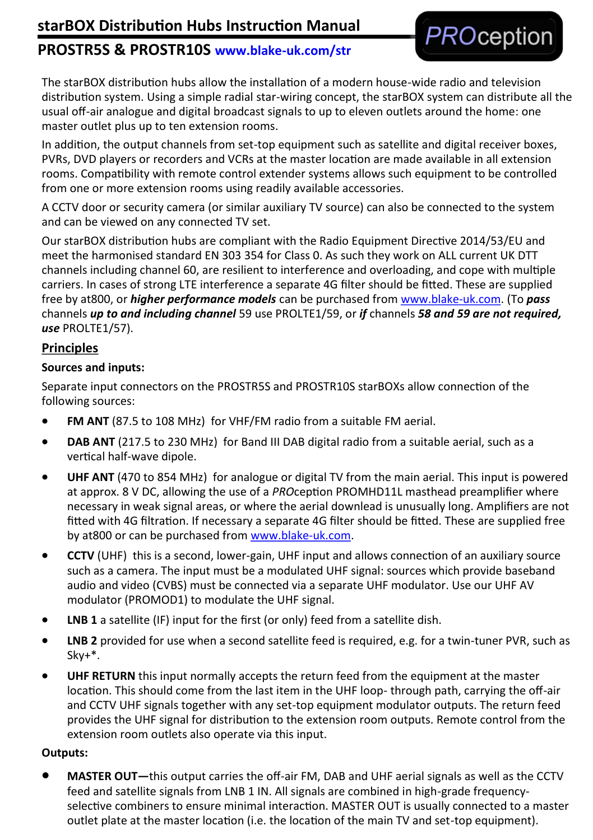# **starBOX Distribution Hubs Instruction Manual**

## **PROSTR5S & PROSTR10S www.blake-uk.com/str**



The starBOX distribution hubs allow the installation of a modern house-wide radio and television distribution system. Using a simple radial star-wiring concept, the starBOX system can distribute all the usual off-air analogue and digital broadcast signals to up to eleven outlets around the home: one master outlet plus up to ten extension rooms.

In addition, the output channels from set-top equipment such as satellite and digital receiver boxes, PVRs, DVD players or recorders and VCRs at the master location are made available in all extension rooms. Compatibility with remote control extender systems allows such equipment to be controlled from one or more extension rooms using readily available accessories.

A CCTV door or security camera (or similar auxiliary TV source) can also be connected to the system and can be viewed on any connected TV set.

Our starBOX distribution hubs are compliant with the Radio Equipment Directive 2014/53/EU and meet the harmonised standard EN 303 354 for Class 0. As such they work on ALL current UK DTT channels including channel 60, are resilient to interference and overloading, and cope with multiple carriers. In cases of strong LTE interference a separate 4G filter should be fitted. These are supplied free by at800, or *higher performance models* can be purchased from [www.blake](http://www.blake-uk.com)-uk.com. (To *pass* channels *up to and including channel* 59 use PROLTE1/59, or *if* channels *58 and 59 are not required, use* PROLTE1/57).

#### **Principles**

#### **Sources and inputs:**

Separate input connectors on the PROSTR5S and PROSTR10S starBOXs allow connection of the following sources:

- **FM ANT** (87.5 to 108 MHz) for VHF/FM radio from a suitable FM aerial.
- **DAB ANT** (217.5 to 230 MHz) for Band III DAB digital radio from a suitable aerial, such as a vertical half-wave dipole.
- **UHF ANT** (470 to 854 MHz) for analogue or digital TV from the main aerial. This input is powered at approx. 8 V DC, allowing the use of a *PRO*ception PROMHD11L masthead preamplifier where necessary in weak signal areas, or where the aerial downlead is unusually long. Amplifiers are not fitted with 4G filtration. If necessary a separate 4G filter should be fitted. These are supplied free by at800 or can be purchased from www.blake-uk.com.
- **CCTV** (UHF) this is a second, lower-gain, UHF input and allows connection of an auxiliary source such as a camera. The input must be a modulated UHF signal: sources which provide baseband audio and video (CVBS) must be connected via a separate UHF modulator. Use our UHF AV modulator (PROMOD1) to modulate the UHF signal.
- **LNB 1** a satellite (IF) input for the first (or only) feed from a satellite dish.
- **LNB 2** provided for use when a second satellite feed is required, e.g. for a twin-tuner PVR, such as Sky+\*.
- **UHF RETURN** this input normally accepts the return feed from the equipment at the master location. This should come from the last item in the UHF loop- through path, carrying the off-air and CCTV UHF signals together with any set-top equipment modulator outputs. The return feed provides the UHF signal for distribution to the extension room outputs. Remote control from the extension room outlets also operate via this input.

#### **Outputs:**

• **MASTER OUT—**this output carries the off-air FM, DAB and UHF aerial signals as well as the CCTV feed and satellite signals from LNB 1 IN. All signals are combined in high-grade frequencyselective combiners to ensure minimal interaction. MASTER OUT is usually connected to a master outlet plate at the master location (i.e. the location of the main TV and set-top equipment).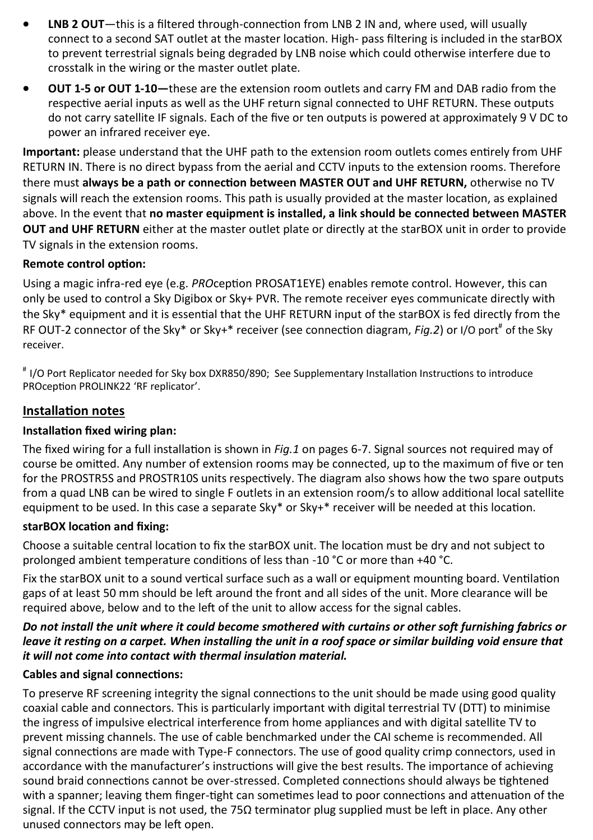- **LNB 2 OUT**—this is a filtered through-connection from LNB 2 IN and, where used, will usually connect to a second SAT outlet at the master location. High- pass filtering is included in the starBOX to prevent terrestrial signals being degraded by LNB noise which could otherwise interfere due to crosstalk in the wiring or the master outlet plate.
- **OUT 1-5 or OUT 1-10—**these are the extension room outlets and carry FM and DAB radio from the respective aerial inputs as well as the UHF return signal connected to UHF RETURN. These outputs do not carry satellite IF signals. Each of the five or ten outputs is powered at approximately 9 V DC to power an infrared receiver eye.

**Important:** please understand that the UHF path to the extension room outlets comes entirely from UHF RETURN IN. There is no direct bypass from the aerial and CCTV inputs to the extension rooms. Therefore there must **always be a path or connection between MASTER OUT and UHF RETURN,** otherwise no TV signals will reach the extension rooms. This path is usually provided at the master location, as explained above. In the event that **no master equipment is installed, a link should be connected between MASTER OUT and UHF RETURN** either at the master outlet plate or directly at the starBOX unit in order to provide TV signals in the extension rooms.

#### **Remote control option:**

Using a magic infra-red eye (e.g. *PRO*ception PROSAT1EYE) enables remote control. However, this can only be used to control a Sky Digibox or Sky+ PVR. The remote receiver eyes communicate directly with the Sky\* equipment and it is essential that the UHF RETURN input of the starBOX is fed directly from the RF OUT-2 connector of the Sky\* or Sky+\* receiver (see connection diagram, *Fig.2*) or I/O port<sup>#</sup> of the Sky receiver.

# I/O Port Replicator needed for Sky box DXR850/890; See Supplementary Installation Instructions to introduce PROception PROLINK22 'RF replicator'.

## **Installation notes**

### **Installation fixed wiring plan:**

The fixed wiring for a full installation is shown in *Fig.1* on pages 6-7. Signal sources not required may of course be omitted. Any number of extension rooms may be connected, up to the maximum of five or ten for the PROSTR5S and PROSTR10S units respectively. The diagram also shows how the two spare outputs from a quad LNB can be wired to single F outlets in an extension room/s to allow additional local satellite equipment to be used. In this case a separate Sky\* or Sky+\* receiver will be needed at this location.

#### **starBOX location and fixing:**

Choose a suitable central location to fix the starBOX unit. The location must be dry and not subject to prolonged ambient temperature conditions of less than -10 °C or more than +40 °C.

Fix the starBOX unit to a sound vertical surface such as a wall or equipment mounting board. Ventilation gaps of at least 50 mm should be left around the front and all sides of the unit. More clearance will be required above, below and to the left of the unit to allow access for the signal cables.

#### *Do not install the unit where it could become smothered with curtains or other soft furnishing fabrics or leave it resting on a carpet. When installing the unit in a roof space or similar building void ensure that it will not come into contact with thermal insulation material.*

### **Cables and signal connections:**

To preserve RF screening integrity the signal connections to the unit should be made using good quality coaxial cable and connectors. This is particularly important with digital terrestrial TV (DTT) to minimise the ingress of impulsive electrical interference from home appliances and with digital satellite TV to prevent missing channels. The use of cable benchmarked under the CAI scheme is recommended. All signal connections are made with Type-F connectors. The use of good quality crimp connectors, used in accordance with the manufacturer's instructions will give the best results. The importance of achieving sound braid connections cannot be over-stressed. Completed connections should always be tightened with a spanner; leaving them finger-tight can sometimes lead to poor connections and attenuation of the signal. If the CCTV input is not used, the 75 $\Omega$  terminator plug supplied must be left in place. Any other unused connectors may be left open.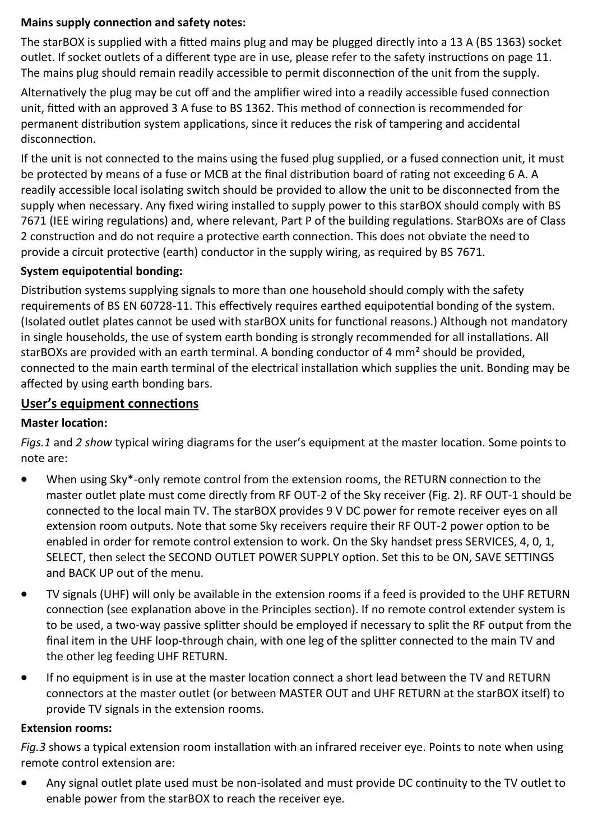#### **Mains supply connection and safety notes:**

The starBOX is supplied with a fitted mains plug and may be plugged directly into a 13 A (BS 1363) socket outlet. If socket outlets of a different type are in use, please refer to the safety instructions on page 11. The mains plug should remain readily accessible to permit disconnection of the unit from the supply.

Alternatively the plug may be cut off and the amplifier wired into a readily accessible fused connection unit, fitted with an approved 3 A fuse to BS 1362. This method of connection is recommended for permanent distribution system applications, since it reduces the risk of tampering and accidental disconnection.

If the unit is not connected to the mains using the fused plug supplied, or a fused connection unit, it must be protected by means of a fuse or MCB at the final distribution board of rating not exceeding 6 A. A readily accessible local isolating switch should be provided to allow the unit to be disconnected from the supply when necessary. Any fixed wiring installed to supply power to this starBOX should comply with BS 7671 (IEE wiring regulations) and, where relevant, Part P of the building regulations. StarBOXs are of Class 2 construction and do not require a protective earth connection. This does not obviate the need to provide a circuit protective (earth) conductor in the supply wiring, as required by BS 7671.

#### **System equipotential bonding:**

Distribution systems supplying signals to more than one household should comply with the safety requirements of BS EN 60728-11. This effectively requires earthed equipotential bonding of the system. (Isolated outlet plates cannot be used with starBOX units for functional reasons.) Although not mandatory in single households, the use of system earth bonding is strongly recommended for all installations. All starBOXs are provided with an earth terminal. A bonding conductor of 4 mm<sup>2</sup> should be provided, connected to the main earth terminal of the electrical installation which supplies the unit. Bonding may be affected by using earth bonding bars.

#### **User's equipment connections**

#### **Master location:**

*Figs.1* and *2 show* typical wiring diagrams for the user's equipment at the master location. Some points to note are:

- When using Sky\*-only remote control from the extension rooms, the RETURN connection to the master outlet plate must come directly from RF OUT-2 of the Sky receiver (Fig. 2). RF OUT-1 should be connected to the local main TV. The starBOX provides 9 V DC power for remote receiver eyes on all extension room outputs. Note that some Sky receivers require their RF OUT-2 power option to be enabled in order for remote control extension to work. On the Sky handset press SERVICES, 4, 0, 1, SELECT, then select the SECOND OUTLET POWER SUPPLY option. Set this to be ON, SAVE SETTINGS and BACK UP out of the menu.
- TV signals (UHF) will only be available in the extension rooms if a feed is provided to the UHF RETURN connection (see explanation above in the Principles section). If no remote control extender system is to be used, a two-way passive splitter should be employed if necessary to split the RF output from the final item in the UHF loop-through chain, with one leg of the splitter connected to the main TV and the other leg feeding UHF RETURN.
- If no equipment is in use at the master location connect a short lead between the TV and RETURN connectors at the master outlet (or between MASTER OUT and UHF RETURN at the starBOX itself) to provide TV signals in the extension rooms.

#### **Extension rooms:**

*Fig.3* shows a typical extension room installation with an infrared receiver eye. Points to note when using remote control extension are:

• Any signal outlet plate used must be non-isolated and must provide DC continuity to the TV outlet to enable power from the starBOX to reach the receiver eye.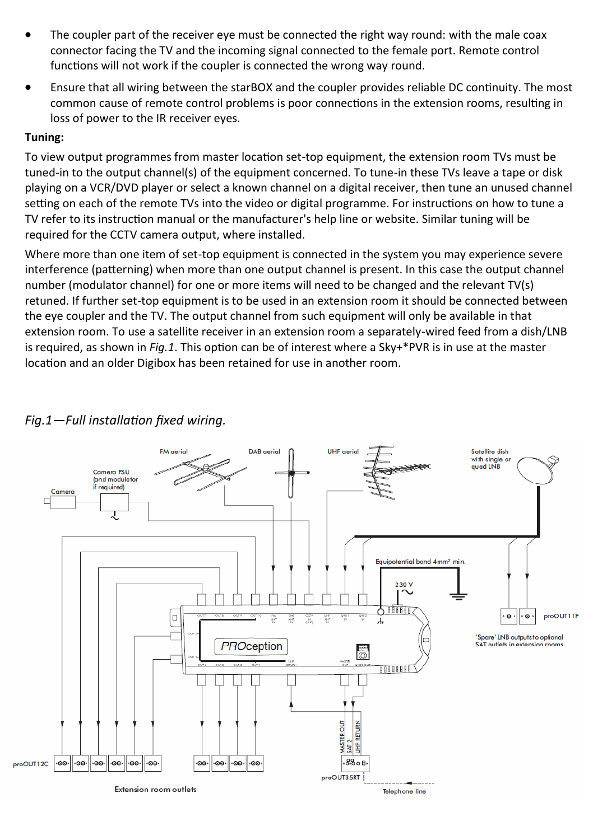- The coupler part of the receiver eye must be connected the right way round: with the male coax connector facing the TV and the incoming signal connected to the female port. Remote control functions will not work if the coupler is connected the wrong way round.
- Ensure that all wiring between the starBOX and the coupler provides reliable DC continuity. The most common cause of remote control problems is poor connections in the extension rooms, resulting in loss of power to the IR receiver eyes.

#### **Tuning:**

To view output programmes from master location set-top equipment, the extension room TVs must be tuned-in to the output channel(s) of the equipment concerned. To tune-in these TVs leave a tape or disk playing on a VCR/DVD player or select a known channel on a digital receiver, then tune an unused channel setting on each of the remote TVs into the video or digital programme. For instructions on how to tune a TV refer to its instruction manual or the manufacturer's help line or website. Similar tuning will be required for the CCTV camera output, where installed.

Where more than one item of set-top equipment is connected in the system you may experience severe interference (patterning) when more than one output channel is present. In this case the output channel number (modulator channel) for one or more items will need to be changed and the relevant TV(s) retuned. If further set-top equipment is to be used in an extension room it should be connected between the eye coupler and the TV. The output channel from such equipment will only be available in that extension room. To use a satellite receiver in an extension room a separately-wired feed from a dish/LNB is required, as shown in *Fig.1*. This option can be of interest where a Sky+\*PVR is in use at the master location and an older Digibox has been retained for use in another room.



## *Fig.1—Full installation fixed wiring.*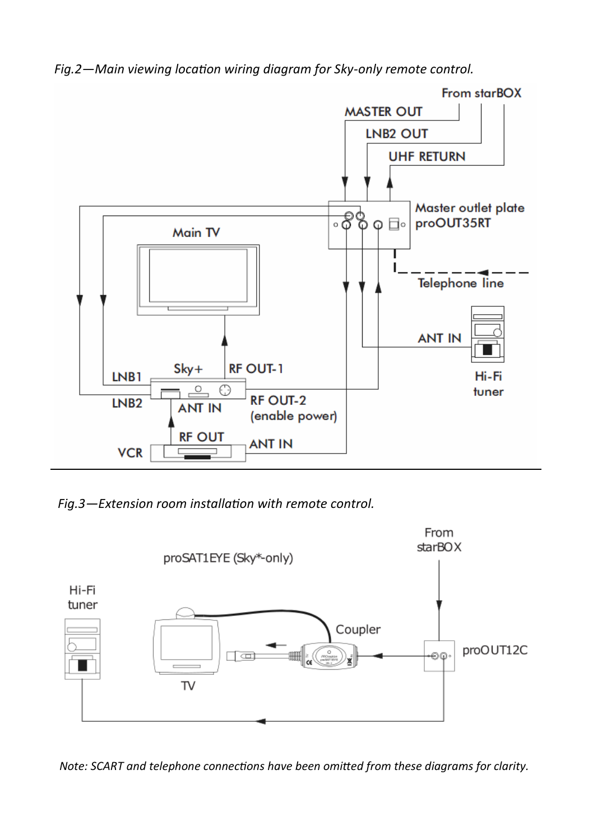*Fig.2—Main viewing location wiring diagram for Sky-only remote control.*



*Fig.3—Extension room installation with remote control.*



*Note: SCART and telephone connections have been omitted from these diagrams for clarity.*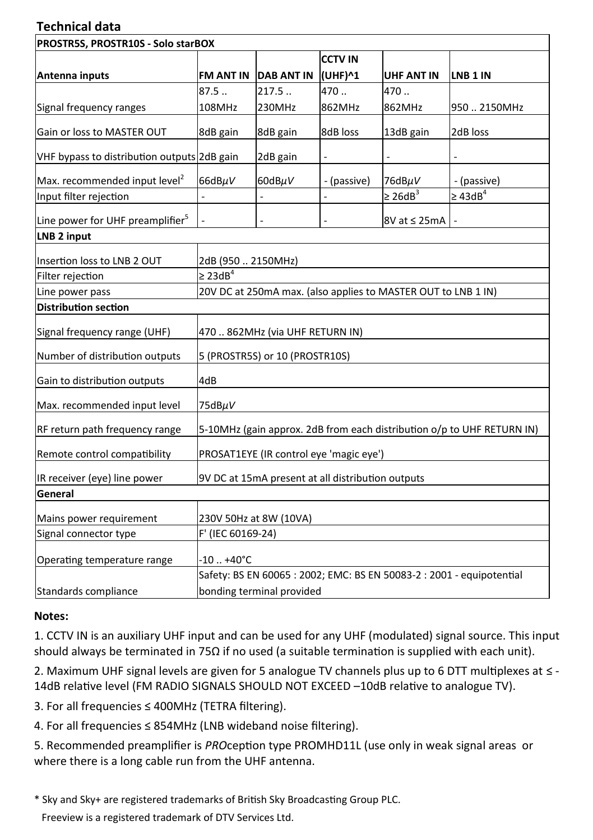## **Technical data**

| PROSTR5S, PROSTR10S - Solo starBOX           |                                                                        |                      |                |                     |                   |  |
|----------------------------------------------|------------------------------------------------------------------------|----------------------|----------------|---------------------|-------------------|--|
|                                              |                                                                        |                      | <b>CCTV IN</b> |                     |                   |  |
| Antenna inputs                               |                                                                        | FM ANT IN DAB ANT IN | (UHF)^1        | <b>UHF ANT IN</b>   | LNB 1 IN          |  |
|                                              | 87.5                                                                   | 217.5                | 470.           | 470.                |                   |  |
| Signal frequency ranges                      | 108MHz                                                                 | 230MHz               | 862MHz         | 862MHz              | 9502150MHz        |  |
| Gain or loss to MASTER OUT                   | 8dB gain                                                               | 8dB gain             | 8dB loss       | 13dB gain           | 2dB loss          |  |
| VHF bypass to distribution outputs 2dB gain  |                                                                        | 2dB gain             | $\frac{1}{2}$  |                     |                   |  |
| Max. recommended input level <sup>2</sup>    | 66dBµV                                                                 | 60dBµV               | - (passive)    | 76dBµV              | - (passive)       |  |
| Input filter rejection                       |                                                                        |                      |                | $\geq 26dB^3$       | $\geq 43$ d $B^4$ |  |
| Line power for UHF preamplifier <sup>5</sup> |                                                                        |                      |                | $8V$ at $\leq$ 25mA |                   |  |
| LNB 2 input                                  |                                                                        |                      |                |                     |                   |  |
| Insertion loss to LNB 2 OUT                  | 2dB (950  2150MHz)                                                     |                      |                |                     |                   |  |
| Filter rejection                             | $\geq 23dB^4$                                                          |                      |                |                     |                   |  |
| Line power pass                              | 20V DC at 250mA max. (also applies to MASTER OUT to LNB 1 IN)          |                      |                |                     |                   |  |
| <b>Distribution section</b>                  |                                                                        |                      |                |                     |                   |  |
| Signal frequency range (UHF)                 | 470  862MHz (via UHF RETURN IN)                                        |                      |                |                     |                   |  |
| Number of distribution outputs               | 5 (PROSTR5S) or 10 (PROSTR10S)                                         |                      |                |                     |                   |  |
| Gain to distribution outputs                 | 4dB                                                                    |                      |                |                     |                   |  |
| Max. recommended input level                 | 75dBµV                                                                 |                      |                |                     |                   |  |
| RF return path frequency range               | 5-10MHz (gain approx. 2dB from each distribution o/p to UHF RETURN IN) |                      |                |                     |                   |  |
| Remote control compatibility                 | PROSAT1EYE (IR control eye 'magic eye')                                |                      |                |                     |                   |  |
| IR receiver (eye) line power                 | 9V DC at 15mA present at all distribution outputs                      |                      |                |                     |                   |  |
| General                                      |                                                                        |                      |                |                     |                   |  |
| Mains power requirement                      | 230V 50Hz at 8W (10VA)                                                 |                      |                |                     |                   |  |
| Signal connector type                        | F' (IEC 60169-24)                                                      |                      |                |                     |                   |  |
| Operating temperature range                  | $-10. +40^{\circ}C$                                                    |                      |                |                     |                   |  |
|                                              | Safety: BS EN 60065 : 2002; EMC: BS EN 50083-2 : 2001 - equipotential  |                      |                |                     |                   |  |
| Standards compliance                         | bonding terminal provided                                              |                      |                |                     |                   |  |

#### **Notes:**

1. CCTV IN is an auxiliary UHF input and can be used for any UHF (modulated) signal source. This input should always be terminated in 75Ω if no used (a suitable termination is supplied with each unit).

2. Maximum UHF signal levels are given for 5 analogue TV channels plus up to 6 DTT multiplexes at ≤ - 14dB relative level (FM RADIO SIGNALS SHOULD NOT EXCEED –10dB relative to analogue TV).

3. For all frequencies ≤ 400MHz (TETRA filtering).

4. For all frequencies ≤ 854MHz (LNB wideband noise filtering).

5. Recommended preamplifier is *PRO*ception type PROMHD11L (use only in weak signal areas or where there is a long cable run from the UHF antenna.

\* Sky and Sky+ are registered trademarks of British Sky Broadcasting Group PLC.

Freeview is a registered trademark of DTV Services Ltd.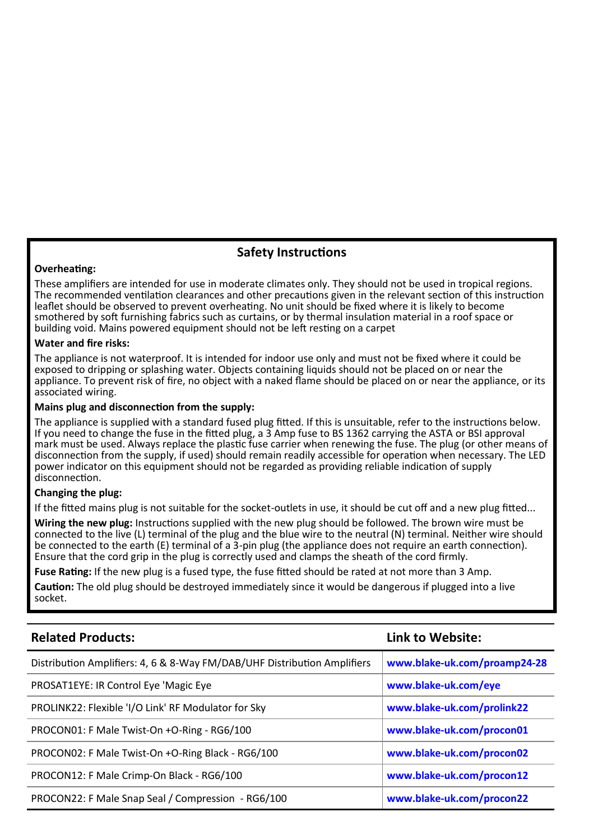#### **Safety Instructions**

#### **Overheating:**

These amplifiers are intended for use in moderate climates only. They should not be used in tropical regions. The recommended ventilation clearances and other precautions given in the relevant section of this instruction leaflet should be observed to prevent overheating. No unit should be fixed where it is likely to become smothered by soft furnishing fabrics such as curtains, or by thermal insulation material in a roof space or building void. Mains powered equipment should not be left resting on a carpet

#### **Water and fire risks:**

The appliance is not waterproof. It is intended for indoor use only and must not be fixed where it could be exposed to dripping or splashing water. Objects containing liquids should not be placed on or near the appliance. To prevent risk of fire, no object with a naked flame should be placed on or near the appliance, or its associated wiring.

#### **Mains plug and disconnection from the supply:**

The appliance is supplied with a standard fused plug fitted. If this is unsuitable, refer to the instructions below. If you need to change the fuse in the fitted plug, a 3 Amp fuse to BS 1362 carrying the ASTA or BSI approval mark must be used. Always replace the plastic fuse carrier when renewing the fuse. The plug (or other means of disconnection from the supply, if used) should remain readily accessible for operation when necessary. The LED power indicator on this equipment should not be regarded as providing reliable indication of supply disconnection.

#### **Changing the plug:**

If the fitted mains plug is not suitable for the socket-outlets in use, it should be cut off and a new plug fitted...

**Wiring the new plug:** Instructions supplied with the new plug should be followed. The brown wire must be connected to the live (L) terminal of the plug and the blue wire to the neutral (N) terminal. Neither wire should be connected to the earth (E) terminal of a 3-pin plug (the appliance does not require an earth connection). Ensure that the cord grip in the plug is correctly used and clamps the sheath of the cord firmly.

**Fuse Rating:** If the new plug is a fused type, the fuse fitted should be rated at not more than 3 Amp.

**Caution:** The old plug should be destroyed immediately since it would be dangerous if plugged into a live socket.

| <b>Related Products:</b>                                                 | Link to Website:             |
|--------------------------------------------------------------------------|------------------------------|
| Distribution Amplifiers: 4, 6 & 8-Way FM/DAB/UHF Distribution Amplifiers | www.blake-uk.com/proamp24-28 |
| PROSAT1EYE: IR Control Eye 'Magic Eye                                    | www.blake-uk.com/eye         |
| PROLINK22: Flexible 'I/O Link' RF Modulator for Sky                      | www.blake-uk.com/prolink22   |
| PROCON01: F Male Twist-On +O-Ring - RG6/100                              | www.blake-uk.com/procon01    |
| PROCON02: F Male Twist-On +O-Ring Black - RG6/100                        | www.blake-uk.com/procon02    |
| PROCON12: F Male Crimp-On Black - RG6/100                                | www.blake-uk.com/procon12    |
| PROCON22: F Male Snap Seal / Compression - RG6/100                       | www.blake-uk.com/procon22    |